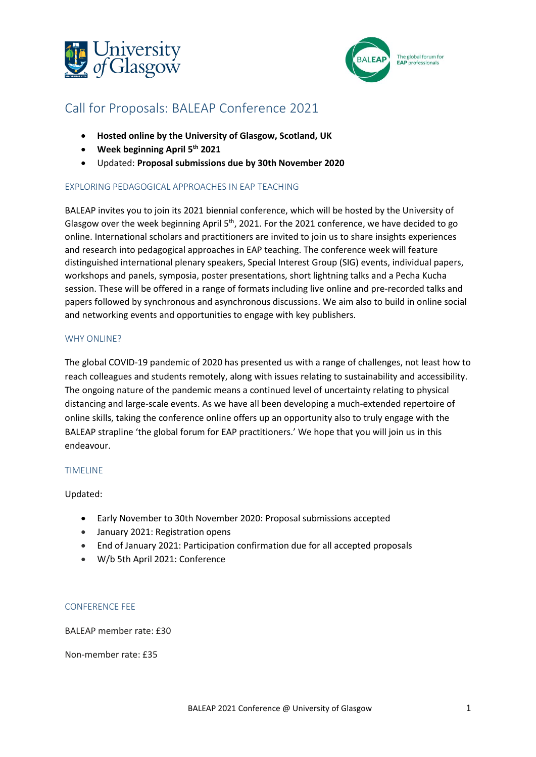



# Call for Proposals: BALEAP Conference 2021

- **Hosted online by the University of Glasgow, Scotland, UK**
- **Week beginning April 5 th 2021**
- Updated: **Proposal submissions due by 30th November 2020**

## EXPLORING PEDAGOGICAL APPROACHES IN EAP TEACHING

BALEAP invites you to join its 2021 biennial conference, which will be hosted by the University of Glasgow over the week beginning April  $5<sup>th</sup>$ , 2021. For the 2021 conference, we have decided to go online. International scholars and practitioners are invited to join us to share insights experiences and research into pedagogical approaches in EAP teaching. The conference week will feature distinguished international plenary speakers, Special Interest Group (SIG) events, individual papers, workshops and panels, symposia, poster presentations, short lightning talks and a Pecha Kucha session. These will be offered in a range of formats including live online and pre-recorded talks and papers followed by synchronous and asynchronous discussions. We aim also to build in online social and networking events and opportunities to engage with key publishers.

#### WHY ONLINE?

The global COVID-19 pandemic of 2020 has presented us with a range of challenges, not least how to reach colleagues and students remotely, along with issues relating to sustainability and accessibility. The ongoing nature of the pandemic means a continued level of uncertainty relating to physical distancing and large-scale events. As we have all been developing a much-extended repertoire of online skills, taking the conference online offers up an opportunity also to truly engage with the BALEAP strapline 'the global forum for EAP practitioners.' We hope that you will join us in this endeavour.

#### TIMELINE

Updated:

- Early November to 30th November 2020: Proposal submissions accepted
- January 2021: Registration opens
- End of January 2021: Participation confirmation due for all accepted proposals
- W/b 5th April 2021: Conference

#### CONFERENCE FEE

BALEAP member rate: £30

Non-member rate: £35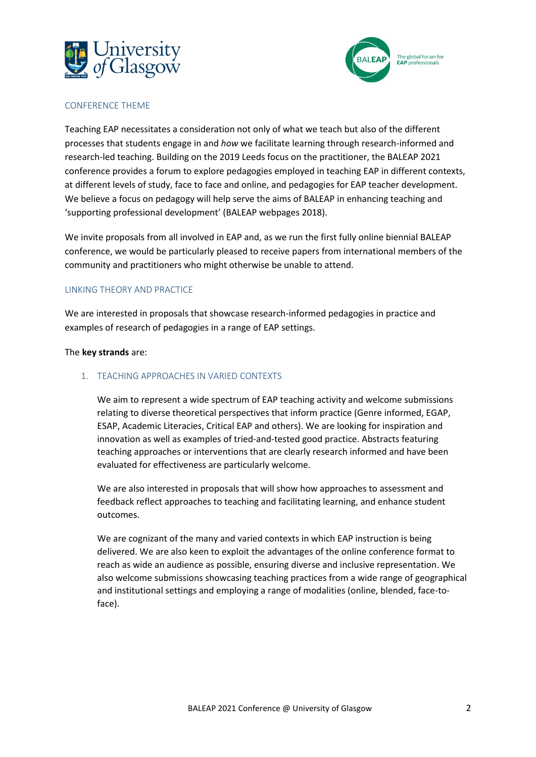



#### CONFERENCE THEME

Teaching EAP necessitates a consideration not only of what we teach but also of the different processes that students engage in and *how* we facilitate learning through research-informed and research-led teaching. Building on the 2019 Leeds focus on the practitioner, the BALEAP 2021 conference provides a forum to explore pedagogies employed in teaching EAP in different contexts, at different levels of study, face to face and online, and pedagogies for EAP teacher development. We believe a focus on pedagogy will help serve the aims of BALEAP in enhancing teaching and 'supporting professional development' (BALEAP webpages 2018).

We invite proposals from all involved in EAP and, as we run the first fully online biennial BALEAP conference, we would be particularly pleased to receive papers from international members of the community and practitioners who might otherwise be unable to attend.

#### LINKING THEORY AND PRACTICE

We are interested in proposals that showcase research-informed pedagogies in practice and examples of research of pedagogies in a range of EAP settings.

The **key strands** are:

#### 1. TEACHING APPROACHES IN VARIED CONTEXTS

We aim to represent a wide spectrum of EAP teaching activity and welcome submissions relating to diverse theoretical perspectives that inform practice (Genre informed, EGAP, ESAP, Academic Literacies, Critical EAP and others). We are looking for inspiration and innovation as well as examples of tried-and-tested good practice. Abstracts featuring teaching approaches or interventions that are clearly research informed and have been evaluated for effectiveness are particularly welcome.

We are also interested in proposals that will show how approaches to assessment and feedback reflect approaches to teaching and facilitating learning, and enhance student outcomes.

We are cognizant of the many and varied contexts in which EAP instruction is being delivered. We are also keen to exploit the advantages of the online conference format to reach as wide an audience as possible, ensuring diverse and inclusive representation. We also welcome submissions showcasing teaching practices from a wide range of geographical and institutional settings and employing a range of modalities (online, blended, face-toface).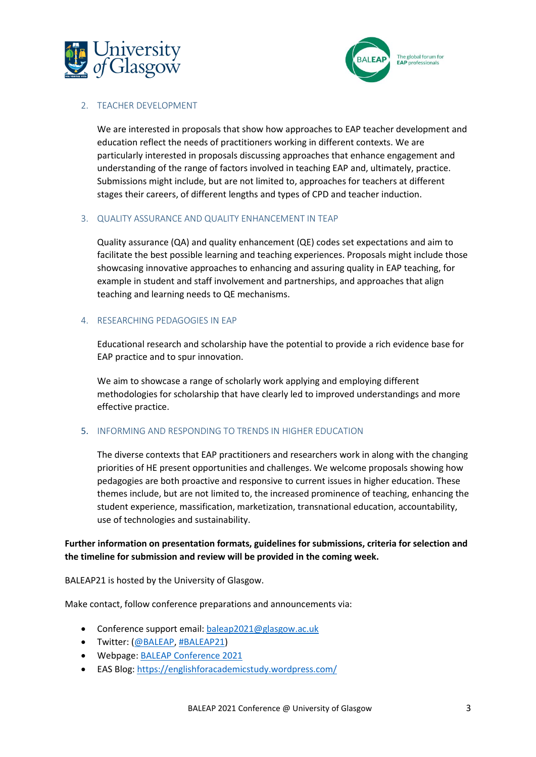



#### 2. TEACHER DEVELOPMENT

We are interested in proposals that show how approaches to EAP teacher development and education reflect the needs of practitioners working in different contexts. We are particularly interested in proposals discussing approaches that enhance engagement and understanding of the range of factors involved in teaching EAP and, ultimately, practice. Submissions might include, but are not limited to, approaches for teachers at different stages their careers, of different lengths and types of CPD and teacher induction.

#### 3. QUALITY ASSURANCE AND QUALITY ENHANCEMENT IN TEAP

Quality assurance (QA) and quality enhancement (QE) codes set expectations and aim to facilitate the best possible learning and teaching experiences. Proposals might include those showcasing innovative approaches to enhancing and assuring quality in EAP teaching, for example in student and staff involvement and partnerships, and approaches that align teaching and learning needs to QE mechanisms.

#### 4. RESEARCHING PEDAGOGIES IN EAP

Educational research and scholarship have the potential to provide a rich evidence base for EAP practice and to spur innovation.

We aim to showcase a range of scholarly work applying and employing different methodologies for scholarship that have clearly led to improved understandings and more effective practice.

#### 5. INFORMING AND RESPONDING TO TRENDS IN HIGHER EDUCATION

The diverse contexts that EAP practitioners and researchers work in along with the changing priorities of HE present opportunities and challenges. We welcome proposals showing how pedagogies are both proactive and responsive to current issues in higher education. These themes include, but are not limited to, the increased prominence of teaching, enhancing the student experience, massification, marketization, transnational education, accountability, use of technologies and sustainability.

# **Further information on presentation formats, guidelines for submissions, criteria for selection and the timeline for submission and review will be provided in the coming week.**

BALEAP21 is hosted by the University of Glasgow.

Make contact, follow conference preparations and announcements via:

- Conference support email: [baleap2021@glasgow.ac.uk](mailto:baleap2021@glasgow.ac.uk)
- Twitter: [\(@BALEAP,](https://twitter.com/baleap) [#BALEAP21\)](https://twitter.com/hashtag/baleap2021?src=hashtag_click)
- Webpage: [BALEAP Conference 2021](https://www.gla.ac.uk/schools/mlc/eas/about%20us/ouractivities/events/)
- EAS Blog:<https://englishforacademicstudy.wordpress.com/>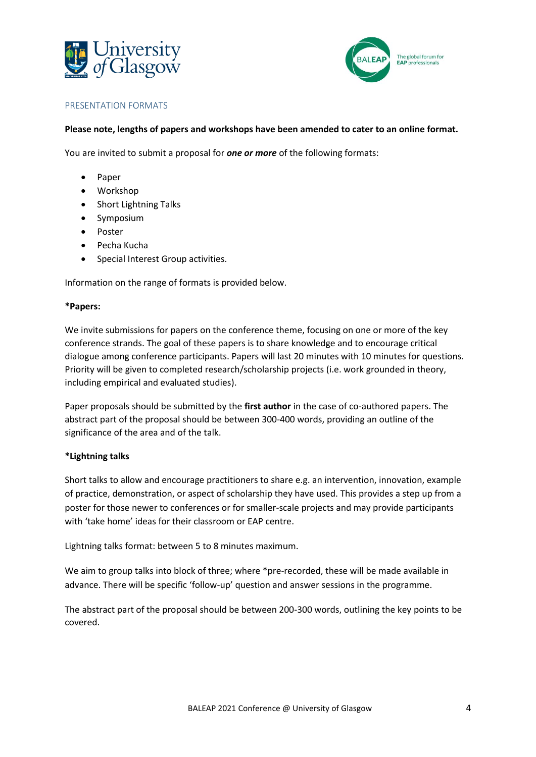



#### PRESENTATION FORMATS

#### **Please note, lengths of papers and workshops have been amended to cater to an online format.**

You are invited to submit a proposal for *one or more* of the following formats:

- Paper
- Workshop
- Short Lightning Talks
- Symposium
- Poster
- Pecha Kucha
- Special Interest Group activities.

Information on the range of formats is provided below.

#### **\*Papers:**

We invite submissions for papers on the conference theme, focusing on one or more of the key conference strands. The goal of these papers is to share knowledge and to encourage critical dialogue among conference participants. Papers will last 20 minutes with 10 minutes for questions. Priority will be given to completed research/scholarship projects (i.e. work grounded in theory, including empirical and evaluated studies).

Paper proposals should be submitted by the **first author** in the case of co-authored papers. The abstract part of the proposal should be between 300-400 words, providing an outline of the significance of the area and of the talk.

#### **\*Lightning talks**

Short talks to allow and encourage practitioners to share e.g. an intervention, innovation, example of practice, demonstration, or aspect of scholarship they have used. This provides a step up from a poster for those newer to conferences or for smaller-scale projects and may provide participants with 'take home' ideas for their classroom or EAP centre.

Lightning talks format: between 5 to 8 minutes maximum.

We aim to group talks into block of three; where \*pre-recorded, these will be made available in advance. There will be specific 'follow-up' question and answer sessions in the programme.

The abstract part of the proposal should be between 200-300 words, outlining the key points to be covered.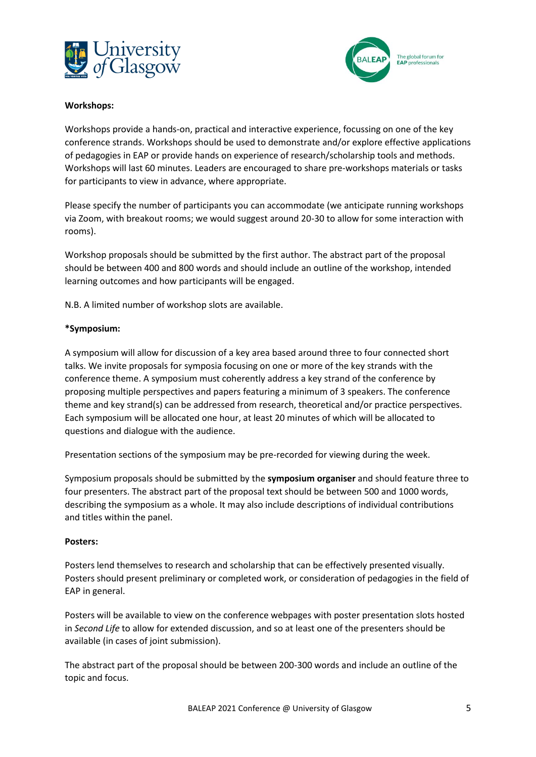



#### **Workshops:**

Workshops provide a hands-on, practical and interactive experience, focussing on one of the key conference strands. Workshops should be used to demonstrate and/or explore effective applications of pedagogies in EAP or provide hands on experience of research/scholarship tools and methods. Workshops will last 60 minutes. Leaders are encouraged to share pre-workshops materials or tasks for participants to view in advance, where appropriate.

Please specify the number of participants you can accommodate (we anticipate running workshops via Zoom, with breakout rooms; we would suggest around 20-30 to allow for some interaction with rooms).

Workshop proposals should be submitted by the first author. The abstract part of the proposal should be between 400 and 800 words and should include an outline of the workshop, intended learning outcomes and how participants will be engaged.

N.B. A limited number of workshop slots are available.

#### **\*Symposium:**

A symposium will allow for discussion of a key area based around three to four connected short talks. We invite proposals for symposia focusing on one or more of the key strands with the conference theme. A symposium must coherently address a key strand of the conference by proposing multiple perspectives and papers featuring a minimum of 3 speakers. The conference theme and key strand(s) can be addressed from research, theoretical and/or practice perspectives. Each symposium will be allocated one hour, at least 20 minutes of which will be allocated to questions and dialogue with the audience.

Presentation sections of the symposium may be pre-recorded for viewing during the week.

Symposium proposals should be submitted by the **symposium organiser** and should feature three to four presenters. The abstract part of the proposal text should be between 500 and 1000 words, describing the symposium as a whole. It may also include descriptions of individual contributions and titles within the panel.

#### **Posters:**

Posters lend themselves to research and scholarship that can be effectively presented visually. Posters should present preliminary or completed work, or consideration of pedagogies in the field of EAP in general.

Posters will be available to view on the conference webpages with poster presentation slots hosted in *Second Life* to allow for extended discussion, and so at least one of the presenters should be available (in cases of joint submission).

The abstract part of the proposal should be between 200-300 words and include an outline of the topic and focus.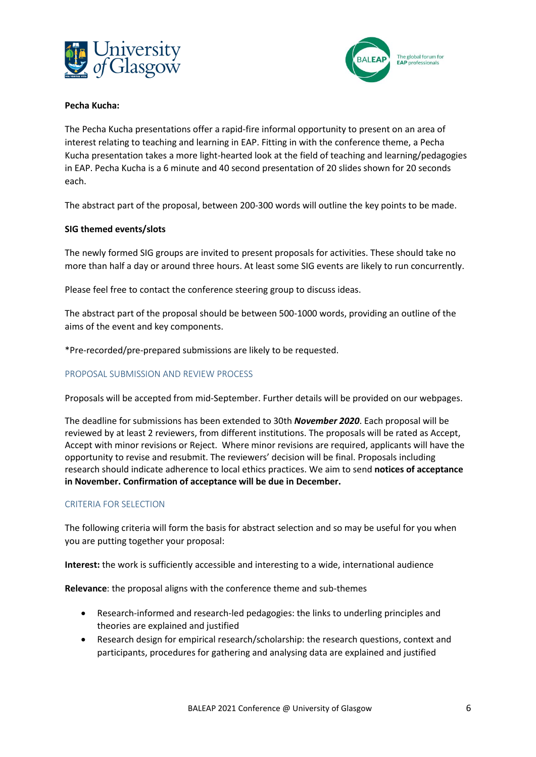



## **Pecha Kucha:**

The Pecha Kucha presentations offer a rapid-fire informal opportunity to present on an area of interest relating to teaching and learning in EAP. Fitting in with the conference theme, a Pecha Kucha presentation takes a more light-hearted look at the field of teaching and learning/pedagogies in EAP. Pecha Kucha is a 6 minute and 40 second presentation of 20 slides shown for 20 seconds each.

The abstract part of the proposal, between 200-300 words will outline the key points to be made.

#### **SIG themed events/slots**

The newly formed SIG groups are invited to present proposals for activities. These should take no more than half a day or around three hours. At least some SIG events are likely to run concurrently.

Please feel free to contact the conference steering group to discuss ideas.

The abstract part of the proposal should be between 500-1000 words, providing an outline of the aims of the event and key components.

\*Pre-recorded/pre-prepared submissions are likely to be requested.

# PROPOSAL SUBMISSION AND REVIEW PROCESS

Proposals will be accepted from mid-September. Further details will be provided on our webpages.

The deadline for submissions has been extended to 30th *November 2020*. Each proposal will be reviewed by at least 2 reviewers, from different institutions. The proposals will be rated as Accept, Accept with minor revisions or Reject. Where minor revisions are required, applicants will have the opportunity to revise and resubmit. The reviewers' decision will be final. Proposals including research should indicate adherence to local ethics practices. We aim to send **notices of acceptance in November. Confirmation of acceptance will be due in December.** 

#### CRITERIA FOR SELECTION

The following criteria will form the basis for abstract selection and so may be useful for you when you are putting together your proposal:

**Interest:** the work is sufficiently accessible and interesting to a wide, international audience

**Relevance**: the proposal aligns with the conference theme and sub-themes

- Research-informed and research-led pedagogies: the links to underling principles and theories are explained and justified
- Research design for empirical research/scholarship: the research questions, context and participants, procedures for gathering and analysing data are explained and justified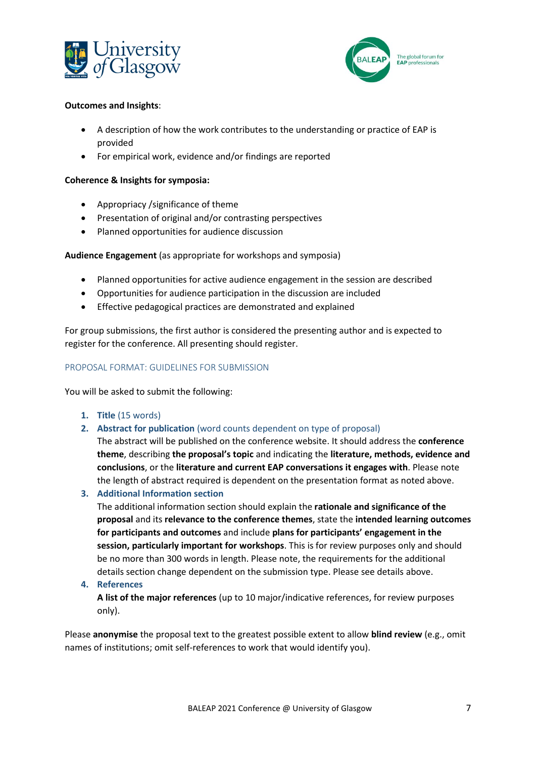



#### **Outcomes and Insights**:

- A description of how the work contributes to the understanding or practice of EAP is provided
- For empirical work, evidence and/or findings are reported

#### **Coherence & Insights for symposia:**

- Appropriacy /significance of theme
- Presentation of original and/or contrasting perspectives
- Planned opportunities for audience discussion

## **Audience Engagement** (as appropriate for workshops and symposia)

- Planned opportunities for active audience engagement in the session are described
- Opportunities for audience participation in the discussion are included
- Effective pedagogical practices are demonstrated and explained

For group submissions, the first author is considered the presenting author and is expected to register for the conference. All presenting should register.

#### PROPOSAL FORMAT: GUIDELINES FOR SUBMISSION

You will be asked to submit the following:

- **1. Title** (15 words)
- **2. Abstract for publication** (word counts dependent on type of proposal)

The abstract will be published on the conference website. It should address the **conference theme**, describing **the proposal's topic** and indicating the **literature, methods, evidence and conclusions**, or the **literature and current EAP conversations it engages with**. Please note the length of abstract required is dependent on the presentation format as noted above.

**3. Additional Information section** 

The additional information section should explain the **rationale and significance of the proposal** and its **relevance to the conference themes**, state the **intended learning outcomes for participants and outcomes** and include **plans for participants' engagement in the session, particularly important for workshops**. This is for review purposes only and should be no more than 300 words in length. Please note, the requirements for the additional details section change dependent on the submission type. Please see details above.

#### **4. References**

**A list of the major references** (up to 10 major/indicative references, for review purposes only).

Please **anonymise** the proposal text to the greatest possible extent to allow **blind review** (e.g., omit names of institutions; omit self-references to work that would identify you).